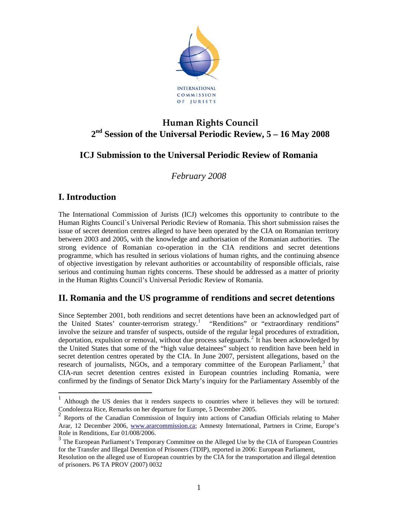

# **Human Rights Council 2nd Session of the Universal Periodic Review, 5 – 16 May 2008**

## **ICJ Submission to the Universal Periodic Review of Romania**

*February 2008* 

## **I. Introduction**

 $\overline{a}$ 

The International Commission of Jurists (ICJ) welcomes this opportunity to contribute to the Human Rights Council`s Universal Periodic Review of Romania. This short submission raises the issue of secret detention centres alleged to have been operated by the CIA on Romanian territory between 2003 and 2005, with the knowledge and authorisation of the Romanian authorities. The strong evidence of Romanian co-operation in the CIA renditions and secret detentions programme, which has resulted in serious violations of human rights, and the continuing absence of objective investigation by relevant authorities or accountability of responsible officials, raise serious and continuing human rights concerns. These should be addressed as a matter of priority in the Human Rights Council's Universal Periodic Review of Romania.

## **II. Romania and the US programme of renditions and secret detentions**

Since September 2001, both renditions and secret detentions have been an acknowledged part of the United States' counter-terrorism strategy.<sup>[1](#page-0-0)</sup> "Renditions" or "extraordinary renditions" involve the seizure and transfer of suspects, outside of the regular legal procedures of extradition, deportation, expulsion or removal, without due process safeguards.<sup>[2](#page-0-1)</sup> It has been acknowledged by the United States that some of the "high value detainees" subject to rendition have been held in secret detention centres operated by the CIA. In June 2007, persistent allegations, based on the research of journalists, NGOs, and a temporary committee of the European Parliament,<sup>[3](#page-0-2)</sup> that CIA-run secret detention centres existed in European countries including Romania, were confirmed by the findings of Senator Dick Marty's inquiry for the Parliamentary Assembly of the

<span id="page-0-0"></span><sup>1</sup> Although the US denies that it renders suspects to countries where it believes they will be tortured: Condoleezza Rice, Remarks on her departure for Europe, 5 December 2005.

<span id="page-0-1"></span><sup>&</sup>lt;sup>2</sup> Reports of the Canadian Commission of Inquiry into actions of Canadian Officials relating to Maher Arar, 12 December 2006, [www.ararcommission.ca](http://www.ararcommission.ca/); Amnesty International, Partners in Crime, Europe's Role in Renditions, Eur 01/008/2006.

<span id="page-0-2"></span><sup>&</sup>lt;sup>3</sup> The European Parliament's Temporary Committee on the Alleged Use by the CIA of European Countries for the Transfer and Illegal Detention of Prisoners (TDIP), reported in 2006: European Parliament,

Resolution on the alleged use of European countries by the CIA for the transportation and illegal detention of prisoners. P6 TA PROV (2007) 0032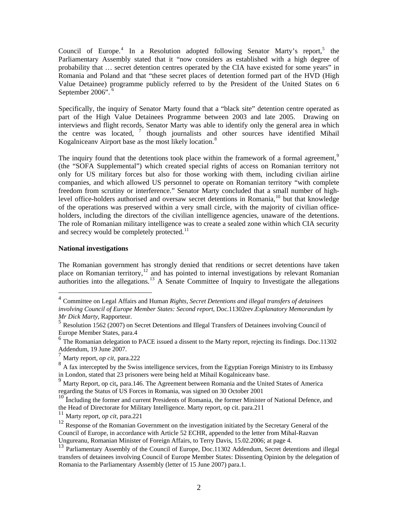Council of Europe.<sup>[4](#page-1-0)</sup> In a Resolution adopted following Senator Marty's report,<sup>[5](#page-1-1)</sup> the Parliamentary Assembly stated that it "now considers as established with a high degree of probability that … secret detention centres operated by the CIA have existed for some years" in Romania and Poland and that "these secret places of detention formed part of the HVD (High Value Detainee) programme publicly referred to by the President of the United States on 6 September 200[6](#page-1-2)".

Specifically, the inquiry of Senator Marty found that a "black site" detention centre operated as part of the High Value Detainees Programme between 2003 and late 2005. Drawing on interviews and flight records, Senator Marty was able to identify only the general area in which the centre was located, <sup>[7](#page-1-3)</sup> though journalists and other sources have identified Mihail Kogalniceanv Airport base as the most likely location.<sup>[8](#page-1-4)</sup>

The inquiry found that the detentions took place within the framework of a formal agreement.<sup>[9](#page-1-5)</sup> (the "SOFA Supplemental") which created special rights of access on Romanian territory not only for US military forces but also for those working with them, including civilian airline companies, and which allowed US personnel to operate on Romanian territory "with complete freedom from scrutiny or interference." Senator Marty concluded that a small number of high-level office-holders authorised and oversaw secret detentions in Romania,<sup>[10](#page-1-6)</sup> but that knowledge of the operations was preserved within a very small circle, with the majority of civilian officeholders, including the directors of the civilian intelligence agencies, unaware of the detentions. The role of Romanian military intelligence was to create a sealed zone within which CIA security and secrecy would be completely protected. $11$ 

#### **National investigations**

 $\overline{a}$ 

The Romanian government has strongly denied that renditions or secret detentions have taken place on Romanian territory,<sup>[12](#page-1-8)</sup> and has pointed to internal investigations by relevant Romanian authorities into the allegations.<sup>[13](#page-1-9)</sup> A Senate Committee of Inquiry to Investigate the allegations

<span id="page-1-0"></span><sup>4</sup> Committee on Legal Affairs and Human *Rights, Secret Detentions and illegal transfers of detainees involving Council of Europe Member States: Second report*, Doc.11302rev.*Explanatory Memorandum by Mr Dick Marty*, Rapporteur.

<span id="page-1-1"></span><sup>5</sup> Resolution 1562 (2007) on Secret Detentions and Illegal Transfers of Detainees involving Council of Europe Member States, para.4

<span id="page-1-2"></span> $6$  The Romanian delegation to PACE issued a dissent to the Marty report, rejecting its findings. Doc.11302 Addendum, 19 June 2007.

<span id="page-1-3"></span><sup>7</sup> Marty report, *op cit*, para.222

<span id="page-1-4"></span><sup>&</sup>lt;sup>8</sup> A fax intercepted by the Swiss intelligence services, from the Egyptian Foreign Ministry to its Embassy in London, stated that 23 prisoners were being held at Mihail Kogalniceanv base.

<span id="page-1-5"></span><sup>9</sup> Marty Report, op cit, para.146. The Agreement between Romania and the United States of America regarding the Status of US Forces in Romania, was signed on 30 October 2001

<span id="page-1-6"></span><sup>&</sup>lt;sup>10</sup> Including the former and current Presidents of Romania, the former Minister of National Defence, and the Head of Directorate for Military Intelligence. Marty report, op cit. para.211

<span id="page-1-7"></span><sup>11</sup> Marty report, *op cit*, para.221

<span id="page-1-8"></span><sup>&</sup>lt;sup>12</sup> Response of the Romanian Government on the investigation initiated by the Secretary General of the Council of Europe, in accordance with Article 52 ECHR, appended to the letter from Mihal-Razvan Ungureanu, Romanian Minister of Foreign Affairs, to Terry Davis, 15.02.2006; at page 4.

<span id="page-1-9"></span><sup>&</sup>lt;sup>13</sup> Parliamentary Assembly of the Council of Europe, Doc.11302 Addendum, Secret detentions and illegal transfers of detainees involving Council of Europe Member States: Dissenting Opinion by the delegation of Romania to the Parliamentary Assembly (letter of 15 June 2007) para.1.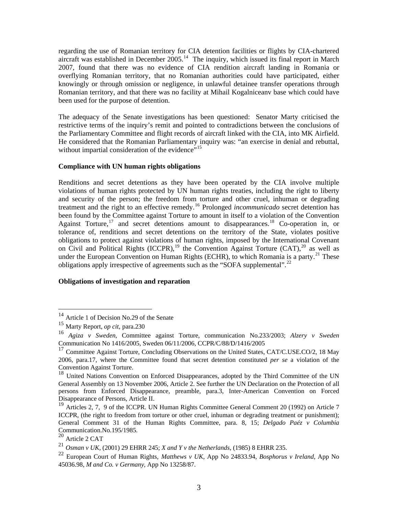regarding the use of Romanian territory for CIA detention facilities or flights by CIA-chartered aircraft was established in December  $2005$ .<sup>[14](#page-2-0)</sup> The inquiry, which issued its final report in March 2007, found that there was no evidence of CIA rendition aircraft landing in Romania or overflying Romanian territory, that no Romanian authorities could have participated, either knowingly or through omission or negligence, in unlawful detainee transfer operations through Romanian territory, and that there was no facility at Mihail Kogalniceanv base which could have been used for the purpose of detention.

The adequacy of the Senate investigations has been questioned: Senator Marty criticised the restrictive terms of the inquiry's remit and pointed to contradictions between the conclusions of the Parliamentary Committee and flight records of aircraft linked with the CIA, into MK Airfield. He considered that the Romanian Parliamentary inquiry was: "an exercise in denial and rebuttal, without impartial consideration of the evidence"<sup>[15](#page-2-1)</sup>

### **Compliance with UN human rights obligations**

Renditions and secret detentions as they have been operated by the CIA involve multiple violations of human rights protected by UN human rights treaties, including the right to liberty and security of the person; the freedom from torture and other cruel, inhuman or degrading treatment and the right to an effective remedy.<sup>[16](#page-2-2)</sup> Prolonged *incommunicado* secret detention has been found by the Committee against Torture to amount in itself to a violation of the Convention Against Torture,  $17$  and secret detentions amount to disappearances.<sup>[18](#page-2-4)</sup> Co-operation in, or tolerance of, renditions and secret detentions on the territory of the State, violates positive obligations to protect against violations of human rights, imposed by the International Covenant on Civil and Political Rights  $(ICCPR)$ ,<sup>[19](#page-2-5)</sup> the Convention Against Torture  $(CAT)$ ,<sup>[20](#page-2-6)</sup> as well as under the European Convention on Human Rights (ECHR), to which Romania is a party.<sup>[21](#page-2-7)</sup> These obligations apply irrespective of agreements such as the "SOFA supplemental".<sup>[22](#page-2-8)</sup>

#### **Obligations of investigation and reparation**

 $\overline{a}$ 

<sup>&</sup>lt;sup>14</sup> Article 1 of Decision No.29 of the Senate

<span id="page-2-1"></span><span id="page-2-0"></span><sup>15</sup> Marty Report, *op cit,* para.230

<span id="page-2-2"></span><sup>16</sup> *Agiza v Sweden*, Committee against Torture, communication No.233/2003; *Alzery v Sweden* Communication No 1416/2005, Sweden 06/11/2006, CCPR/C/88/D/1416/2005

<span id="page-2-3"></span><sup>&</sup>lt;sup>17</sup> Committee Against Torture, Concluding Observations on the United States, CAT/C.USE.CO/2, 18 May 2006, para.17, where the Committee found that secret detention constituted *per se* a violation of the Convention Against Torture.

<span id="page-2-4"></span><sup>&</sup>lt;sup>18</sup> United Nations Convention on Enforced Disappearances, adopted by the Third Committee of the UN General Assembly on 13 November 2006, Article 2. See further the UN Declaration on the Protection of all persons from Enforced Disappearance, preamble, para.3, Inter-American Convention on Forced Disappearance of Persons, Article II.

<span id="page-2-5"></span><sup>&</sup>lt;sup>19</sup> Articles 2, 7, 9 of the ICCPR. UN Human Rights Committee General Comment 20 (1992) on Article 7 ICCPR, (the right to freedom from torture or other cruel, inhuman or degrading treatment or punishment); General Comment 31 of the Human Rights Committee, para. 8, 15; *Delgado Paéz v Columbia* Communication.No.195/1985.

<span id="page-2-6"></span><sup>20</sup> Article 2 CAT

<span id="page-2-7"></span><sup>21</sup> *Osman v UK,* (2001) 29 EHRR 245; *X and Y v the Netherlands*, (1985) 8 EHRR 235.

<span id="page-2-8"></span><sup>22</sup> European Court of Human Rights, *Matthews v UK*, App No 24833.94, *Bosphorus v Ireland*, App No 45036.98, *M and Co. v Germany*, App No 13258/87.